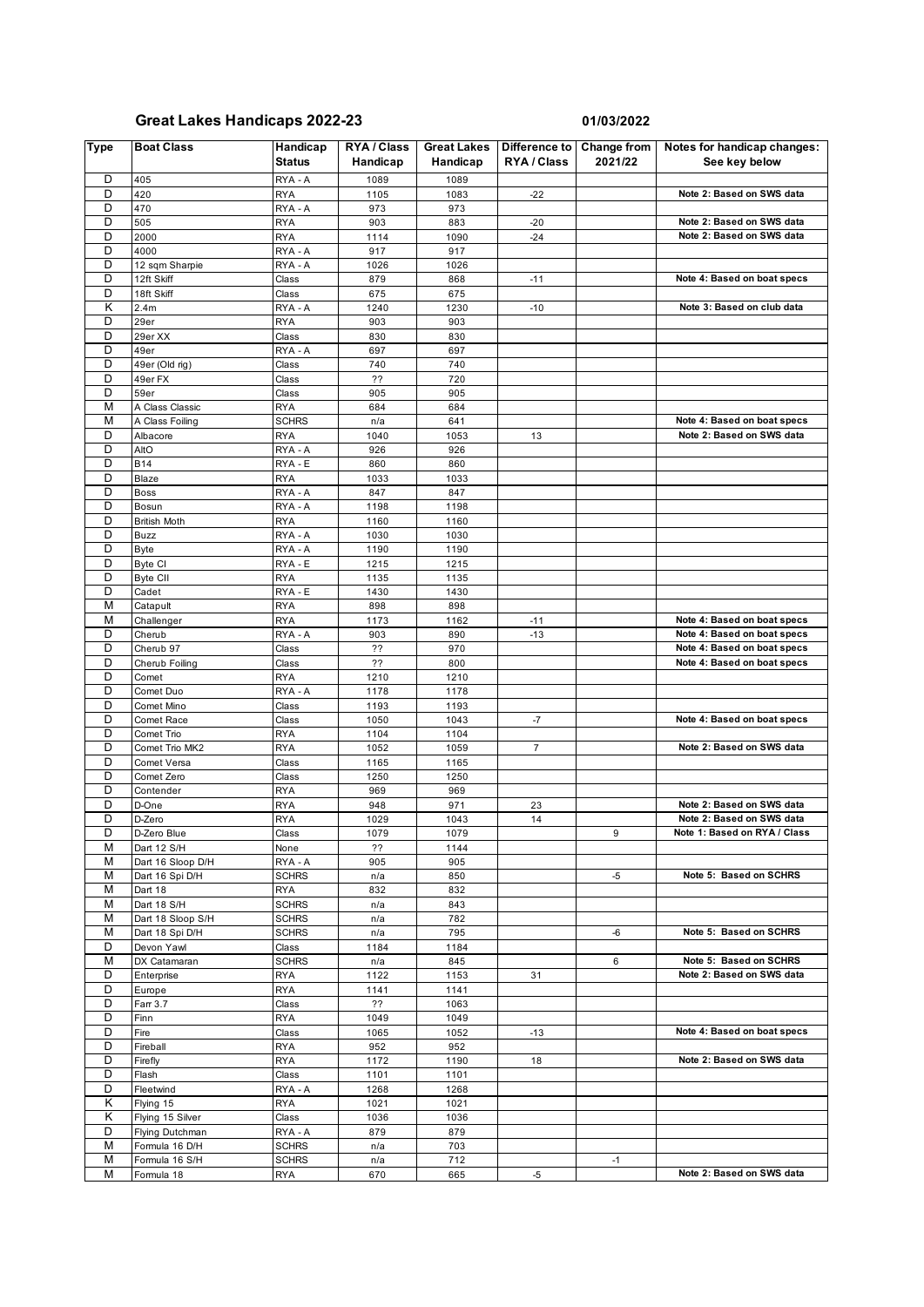## **Great Lakes Handicaps 2022-23 01/03/2022**

| <b>Type</b>             | <b>Boat Class</b>                  | Handicap<br><b>Status</b>  | RYA / Class<br>Handicap | <b>Great Lakes</b><br>Handicap | RYA / Class    | Difference to Change from<br>2021/22 | Notes for handicap changes:<br>See key below |
|-------------------------|------------------------------------|----------------------------|-------------------------|--------------------------------|----------------|--------------------------------------|----------------------------------------------|
| D                       | 405                                | RYA - A                    | 1089                    | 1089                           |                |                                      |                                              |
| D                       | 420                                | <b>RYA</b>                 | 1105                    | 1083                           | $-22$          |                                      | Note 2: Based on SWS data                    |
| D                       | 470                                | RYA - A                    | 973                     | 973                            |                |                                      |                                              |
| D                       | 505                                | <b>RYA</b>                 | 903                     | 883                            | $-20$          |                                      | Note 2: Based on SWS data                    |
| D<br>D                  | 2000                               | <b>RYA</b>                 | 1114                    | 1090                           | $-24$          |                                      | Note 2: Based on SWS data                    |
| D                       | 4000<br>12 sqm Sharpie             | RYA - A<br>RYA - A         | 917<br>1026             | 917<br>1026                    |                |                                      |                                              |
| D                       | 12ft Skiff                         | Class                      | 879                     | 868                            | $-11$          |                                      | Note 4: Based on boat specs                  |
| D                       | 18ft Skiff                         | Class                      | 675                     | 675                            |                |                                      |                                              |
| Κ                       | 2.4m                               | RYA - A                    | 1240                    | 1230                           | $-10$          |                                      | Note 3: Based on club data                   |
| D                       | 29er                               | <b>RYA</b>                 | 903                     | 903                            |                |                                      |                                              |
| D                       | 29er XX                            | Class                      | 830                     | 830                            |                |                                      |                                              |
| D                       | 49er                               | RYA - A                    | 697                     | 697                            |                |                                      |                                              |
| D                       | 49er (Old rig)                     | Class                      | 740                     | 740                            |                |                                      |                                              |
| D                       | 49er FX                            | Class                      | ??                      | 720                            |                |                                      |                                              |
| D<br>M                  | 59er                               | Class                      | 905                     | 905                            |                |                                      |                                              |
| M                       | A Class Classic<br>A Class Foiling | <b>RYA</b>                 | 684                     | 684<br>641                     |                |                                      | Note 4: Based on boat specs                  |
| D                       | Albacore                           | <b>SCHRS</b><br><b>RYA</b> | n/a<br>1040             | 1053                           | 13             |                                      | Note 2: Based on SWS data                    |
| D                       | AltO                               | RYA - A                    | 926                     | 926                            |                |                                      |                                              |
| D                       | <b>B14</b>                         | RYA - E                    | 860                     | 860                            |                |                                      |                                              |
| D                       | Blaze                              | <b>RYA</b>                 | 1033                    | 1033                           |                |                                      |                                              |
| D                       | <b>Boss</b>                        | RYA - A                    | 847                     | 847                            |                |                                      |                                              |
| D                       | Bosun                              | RYA - A                    | 1198                    | 1198                           |                |                                      |                                              |
| D                       | <b>British Moth</b>                | <b>RYA</b>                 | 1160                    | 1160                           |                |                                      |                                              |
| D                       | Buzz                               | RYA - A                    | 1030                    | 1030                           |                |                                      |                                              |
| D                       | <b>Byte</b>                        | RYA - A                    | 1190                    | 1190                           |                |                                      |                                              |
| D                       | Byte CI                            | RYA - E                    | 1215                    | 1215                           |                |                                      |                                              |
| D                       | <b>Byte CII</b>                    | <b>RYA</b>                 | 1135                    | 1135                           |                |                                      |                                              |
| D<br>M                  | Cadet<br>Catapult                  | RYA - E<br><b>RYA</b>      | 1430<br>898             | 1430<br>898                    |                |                                      |                                              |
| M                       | Challenger                         | <b>RYA</b>                 | 1173                    | 1162                           | $-11$          |                                      | Note 4: Based on boat specs                  |
| D                       | Cherub                             | RYA - A                    | 903                     | 890                            | $-13$          |                                      | Note 4: Based on boat specs                  |
| D                       | Cherub 97                          | Class                      | ??                      | 970                            |                |                                      | Note 4: Based on boat specs                  |
| D                       | Cherub Foiling                     | Class                      | ??                      | 800                            |                |                                      | Note 4: Based on boat specs                  |
| D                       | Comet                              | <b>RYA</b>                 | 1210                    | 1210                           |                |                                      |                                              |
| D                       | Comet Duo                          | RYA - A                    | 1178                    | 1178                           |                |                                      |                                              |
| D                       | Comet Mino                         | Class                      | 1193                    | 1193                           |                |                                      |                                              |
| D                       | Comet Race                         | Class                      | 1050                    | 1043                           | $-7$           |                                      | Note 4: Based on boat specs                  |
| D                       | Comet Trio                         | <b>RYA</b>                 | 1104                    | 1104                           |                |                                      |                                              |
| D<br>D                  | Comet Trio MK2                     | <b>RYA</b>                 | 1052                    | 1059                           | $\overline{7}$ |                                      | Note 2: Based on SWS data                    |
| D                       | Comet Versa<br>Comet Zero          | Class<br>Class             | 1165<br>1250            | 1165<br>1250                   |                |                                      |                                              |
| D                       | Contender                          | <b>RYA</b>                 | 969                     | 969                            |                |                                      |                                              |
| D                       | D-One                              | <b>RYA</b>                 | 948                     | 971                            | 23             |                                      | Note 2: Based on SWS data                    |
| D                       | D-Zero                             | <b>RYA</b>                 | 1029                    | 1043                           | 14             |                                      | Note 2: Based on SWS data                    |
| D                       | D-Zero Blue                        | Class                      | 1079                    | 1079                           |                | 9                                    | Note 1: Based on RYA / Class                 |
| М                       | Dart 12 S/H                        | None                       | ??                      | 1144                           |                |                                      |                                              |
| м                       | Dart 16 Sloop D/H                  | RYA - A                    | 905                     | 905                            |                |                                      |                                              |
| М                       | Dart 16 Spi D/H                    | <b>SCHRS</b>               | n/a                     | 850                            |                | -5                                   | Note 5: Based on SCHRS                       |
| М                       | Dart 18                            | RYA                        | 832                     | 832                            |                |                                      |                                              |
| M                       | Dart 18 S/H                        | <b>SCHRS</b>               | n/a                     | 843                            |                |                                      |                                              |
| М<br>М                  | Dart 18 Sloop S/H                  | <b>SCHRS</b>               | n/a                     | 782                            |                |                                      | Note 5: Based on SCHRS                       |
| D                       | Dart 18 Spi D/H<br>Devon Yawl      | <b>SCHRS</b>               | n/a                     | 795                            |                | -6                                   |                                              |
| М                       | DX Catamaran                       | Class<br><b>SCHRS</b>      | 1184<br>n/a             | 1184<br>845                    |                | 6                                    | Note 5: Based on SCHRS                       |
| D                       | Enterprise                         | <b>RYA</b>                 | 1122                    | 1153                           | 31             |                                      | Note 2: Based on SWS data                    |
| D                       | Europe                             | <b>RYA</b>                 | 1141                    | 1141                           |                |                                      |                                              |
| D                       | Farr 3.7                           | Class                      | ??                      | 1063                           |                |                                      |                                              |
| D                       | Finn                               | <b>RYA</b>                 | 1049                    | 1049                           |                |                                      |                                              |
| D                       | Fire                               | Class                      | 1065                    | 1052                           | -13            |                                      | Note 4: Based on boat specs                  |
| D                       | Fireball                           | <b>RYA</b>                 | 952                     | 952                            |                |                                      |                                              |
| D                       | Firefly                            | <b>RYA</b>                 | 1172                    | 1190                           | 18             |                                      | Note 2: Based on SWS data                    |
| D                       | Flash                              | Class                      | 1101                    | 1101                           |                |                                      |                                              |
| D                       | Fleetwind                          | RYA - A                    | 1268                    | 1268                           |                |                                      |                                              |
| $\overline{\mathsf{K}}$ | Flying 15                          | RYA                        | 1021                    | 1021                           |                |                                      |                                              |
| Κ<br>D                  | Flying 15 Silver                   | Class                      | 1036                    | 1036                           |                |                                      |                                              |
| М                       | Flying Dutchman<br>Formula 16 D/H  | RYA - A<br><b>SCHRS</b>    | 879                     | 879<br>703                     |                |                                      |                                              |
| M                       | Formula 16 S/H                     | <b>SCHRS</b>               | n/a<br>n/a              | 712                            |                | $-1$                                 |                                              |
| М                       | Formula 18                         | <b>RYA</b>                 | 670                     | 665                            | -5             |                                      | Note 2: Based on SWS data                    |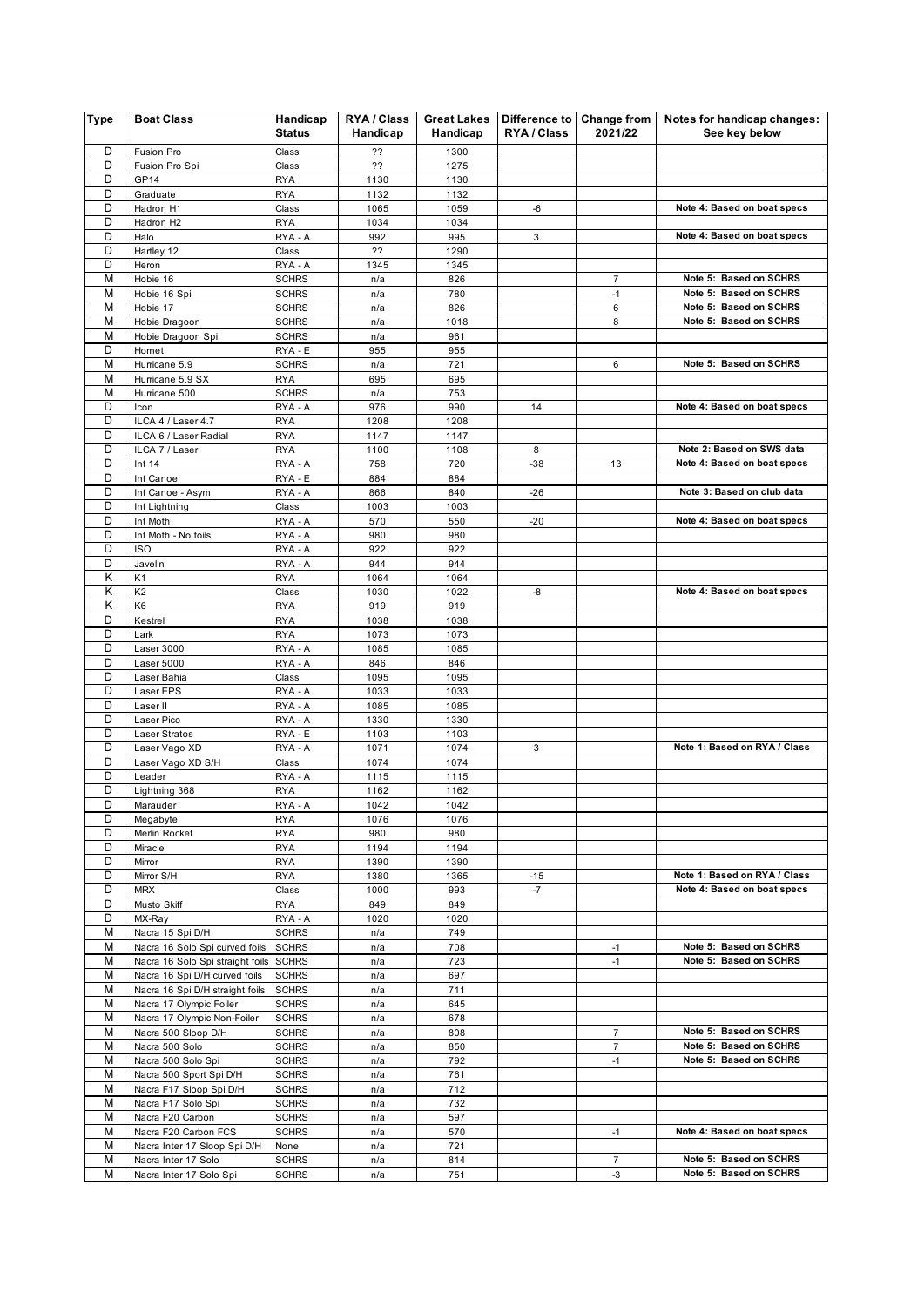| <b>Type</b> | <b>Boat Class</b>                                                 | Handicap<br><b>Status</b>    | <b>RYA / Class</b><br>Handicap | <b>Great Lakes</b><br>Handicap | Difference to Change from<br>RYA / Class | 2021/22              | Notes for handicap changes:<br>See key below     |
|-------------|-------------------------------------------------------------------|------------------------------|--------------------------------|--------------------------------|------------------------------------------|----------------------|--------------------------------------------------|
|             |                                                                   |                              |                                |                                |                                          |                      |                                                  |
| D<br>D      | Fusion Pro<br>Fusion Pro Spi                                      | Class<br>Class               | ??<br>??                       | 1300<br>1275                   |                                          |                      |                                                  |
| D           | GP14                                                              | <b>RYA</b>                   | 1130                           | 1130                           |                                          |                      |                                                  |
| D           | Graduate                                                          | <b>RYA</b>                   | 1132                           | 1132                           |                                          |                      |                                                  |
| D           | Hadron H1                                                         | Class                        | 1065                           | 1059                           | -6                                       |                      | Note 4: Based on boat specs                      |
| D           | Hadron H2                                                         | <b>RYA</b>                   | 1034                           | 1034                           |                                          |                      |                                                  |
| D<br>D      | Halo<br>Hartley 12                                                | RYA - A<br>Class             | 992<br>??                      | 995<br>1290                    | 3                                        |                      | Note 4: Based on boat specs                      |
| D           | Heron                                                             | RYA - A                      | 1345                           | 1345                           |                                          |                      |                                                  |
| M           | Hobie 16                                                          | <b>SCHRS</b>                 | n/a                            | 826                            |                                          | $\overline{7}$       | Note 5: Based on SCHRS                           |
| M           | Hobie 16 Spi                                                      | <b>SCHRS</b>                 | n/a                            | 780                            |                                          | $-1$                 | Note 5: Based on SCHRS                           |
| M           | Hobie 17                                                          | <b>SCHRS</b>                 | n/a                            | 826                            |                                          | 6                    | Note 5: Based on SCHRS                           |
| M           | Hobie Dragoon                                                     | <b>SCHRS</b>                 | n/a                            | 1018                           |                                          | 8                    | Note 5: Based on SCHRS                           |
| M<br>D      | Hobie Dragoon Spi<br>Hornet                                       | <b>SCHRS</b><br>RYA - E      | n/a<br>955                     | 961<br>955                     |                                          |                      |                                                  |
| M           | Hurricane 5.9                                                     | <b>SCHRS</b>                 | n/a                            | 721                            |                                          | 6                    | Note 5: Based on SCHRS                           |
| M           | Hurricane 5.9 SX                                                  | <b>RYA</b>                   | 695                            | 695                            |                                          |                      |                                                  |
| M           | Hurricane 500                                                     | <b>SCHRS</b>                 | n/a                            | 753                            |                                          |                      |                                                  |
| D           | Icon                                                              | RYA - A                      | 976                            | 990                            | 14                                       |                      | Note 4: Based on boat specs                      |
| D           | ILCA 4 / Laser 4.7                                                | <b>RYA</b>                   | 1208                           | 1208                           |                                          |                      |                                                  |
| D           | ILCA 6 / Laser Radial                                             | <b>RYA</b>                   | 1147                           | 1147                           |                                          |                      | Note 2: Based on SWS data                        |
| D<br>D      | ILCA 7 / Laser<br>Int $14$                                        | <b>RYA</b><br>RYA - A        | 1100<br>758                    | 1108<br>720                    | 8<br>$-38$                               | 13                   | Note 4: Based on boat specs                      |
| D           | Int Canoe                                                         | RYA - E                      | 884                            | 884                            |                                          |                      |                                                  |
| D           | Int Canoe - Asym                                                  | RYA - A                      | 866                            | 840                            | $-26$                                    |                      | Note 3: Based on club data                       |
| D           | Int Lightning                                                     | Class                        | 1003                           | 1003                           |                                          |                      |                                                  |
| D           | Int Moth                                                          | RYA - A                      | 570                            | 550                            | $-20$                                    |                      | Note 4: Based on boat specs                      |
| D           | Int Moth - No foils                                               | RYA - A                      | 980                            | 980                            |                                          |                      |                                                  |
| D<br>D      | <b>ISO</b>                                                        | RYA - A                      | 922<br>944                     | 922<br>944                     |                                          |                      |                                                  |
| Κ           | Javelin<br>K1                                                     | RYA - A<br><b>RYA</b>        | 1064                           | 1064                           |                                          |                      |                                                  |
| Κ           | K <sub>2</sub>                                                    | Class                        | 1030                           | 1022                           | -8                                       |                      | Note 4: Based on boat specs                      |
| K           | K <sub>6</sub>                                                    | <b>RYA</b>                   | 919                            | 919                            |                                          |                      |                                                  |
| D           | Kestrel                                                           | <b>RYA</b>                   | 1038                           | 1038                           |                                          |                      |                                                  |
| D           | Lark                                                              | <b>RYA</b>                   | 1073                           | 1073                           |                                          |                      |                                                  |
| D           | Laser 3000                                                        | RYA - A                      | 1085                           | 1085                           |                                          |                      |                                                  |
| D<br>D      | Laser 5000<br>Laser Bahia                                         | RYA - A<br>Class             | 846<br>1095                    | 846<br>1095                    |                                          |                      |                                                  |
| D           | Laser EPS                                                         | RYA - A                      | 1033                           | 1033                           |                                          |                      |                                                  |
| D           | Laser II                                                          | RYA - A                      | 1085                           | 1085                           |                                          |                      |                                                  |
| D           | Laser Pico                                                        | RYA - A                      | 1330                           | 1330                           |                                          |                      |                                                  |
| D           | Laser Stratos                                                     | RYA - E                      | 1103                           | 1103                           |                                          |                      |                                                  |
| D           | Laser Vago XD                                                     | RYA - A                      | 1071                           | 1074                           | 3                                        |                      | Note 1: Based on RYA / Class                     |
| D<br>D      | Laser Vago XD S/H<br>Leader                                       | Class<br>RYA - A             | 1074<br>1115                   | 1074<br>1115                   |                                          |                      |                                                  |
| D           | Lightning 368                                                     | <b>RYA</b>                   | 1162                           | 1162                           |                                          |                      |                                                  |
| D           | Marauder                                                          | RYA - A                      | 1042                           | 1042                           |                                          |                      |                                                  |
| D           | Megabyte                                                          | <b>RYA</b>                   | 1076                           | 1076                           |                                          |                      |                                                  |
| D           | Merlin Rocket                                                     | <b>RYA</b>                   | 980                            | 980                            |                                          |                      |                                                  |
| D           | Miracle                                                           | <b>RYA</b>                   | 1194                           | 1194                           |                                          |                      |                                                  |
| D<br>D      | Mirror<br>Mirror S/H                                              | <b>RYA</b><br><b>RYA</b>     | 1390<br>1380                   | 1390<br>1365                   | -15                                      |                      | Note 1: Based on RYA / Class                     |
| D           | <b>MRX</b>                                                        | Class                        | 1000                           | 993                            | $-7$                                     |                      | Note 4: Based on boat specs                      |
| D           | Musto Skiff                                                       | <b>RYA</b>                   | 849                            | 849                            |                                          |                      |                                                  |
| D           | MX-Ray                                                            | RYA - A                      | 1020                           | 1020                           |                                          |                      |                                                  |
| M           | Nacra 15 Spi D/H                                                  | <b>SCHRS</b>                 | n/a                            | 749                            |                                          |                      |                                                  |
| M<br>M      | Nacra 16 Solo Spi curved foils                                    | <b>SCHRS</b>                 | n/a                            | 708                            |                                          | $-1$                 | Note 5: Based on SCHRS                           |
| M           | Nacra 16 Solo Spi straight foils<br>Nacra 16 Spi D/H curved foils | <b>SCHRS</b><br><b>SCHRS</b> | n/a<br>n/a                     | 723<br>697                     |                                          | $-1$                 | Note 5: Based on SCHRS                           |
| M           | Nacra 16 Spi D/H straight foils                                   | <b>SCHRS</b>                 | n/a                            | 711                            |                                          |                      |                                                  |
| M           | Nacra 17 Olympic Foiler                                           | <b>SCHRS</b>                 | n/a                            | 645                            |                                          |                      |                                                  |
| М           | Nacra 17 Olympic Non-Foiler                                       | <b>SCHRS</b>                 | n/a                            | 678                            |                                          |                      |                                                  |
| М           | Nacra 500 Sloop D/H                                               | <b>SCHRS</b>                 | n/a                            | 808                            |                                          | 7                    | Note 5: Based on SCHRS                           |
| М           | Nacra 500 Solo                                                    | <b>SCHRS</b>                 | n/a                            | 850                            |                                          | $\overline{7}$       | Note 5: Based on SCHRS                           |
| М<br>М      | Nacra 500 Solo Spi<br>Nacra 500 Sport Spi D/H                     | <b>SCHRS</b><br><b>SCHRS</b> | n/a                            | 792<br>761                     |                                          | $-1$                 | Note 5: Based on SCHRS                           |
| М           | Nacra F17 Sloop Spi D/H                                           | <b>SCHRS</b>                 | n/a<br>n/a                     | 712                            |                                          |                      |                                                  |
| М           | Nacra F17 Solo Spi                                                | <b>SCHRS</b>                 | n/a                            | 732                            |                                          |                      |                                                  |
| M           | Nacra F20 Carbon                                                  | <b>SCHRS</b>                 | n/a                            | 597                            |                                          |                      |                                                  |
| M           | Nacra F20 Carbon FCS                                              | <b>SCHRS</b>                 | n/a                            | 570                            |                                          | $-1$                 | Note 4: Based on boat specs                      |
| M           | Nacra Inter 17 Sloop Spi D/H                                      | None                         | n/a                            | 721                            |                                          |                      |                                                  |
| М<br>M      | Nacra Inter 17 Solo<br>Nacra Inter 17 Solo Spi                    | <b>SCHRS</b><br><b>SCHRS</b> | n/a<br>n/a                     | 814<br>751                     |                                          | $\overline{7}$<br>-3 | Note 5: Based on SCHRS<br>Note 5: Based on SCHRS |
|             |                                                                   |                              |                                |                                |                                          |                      |                                                  |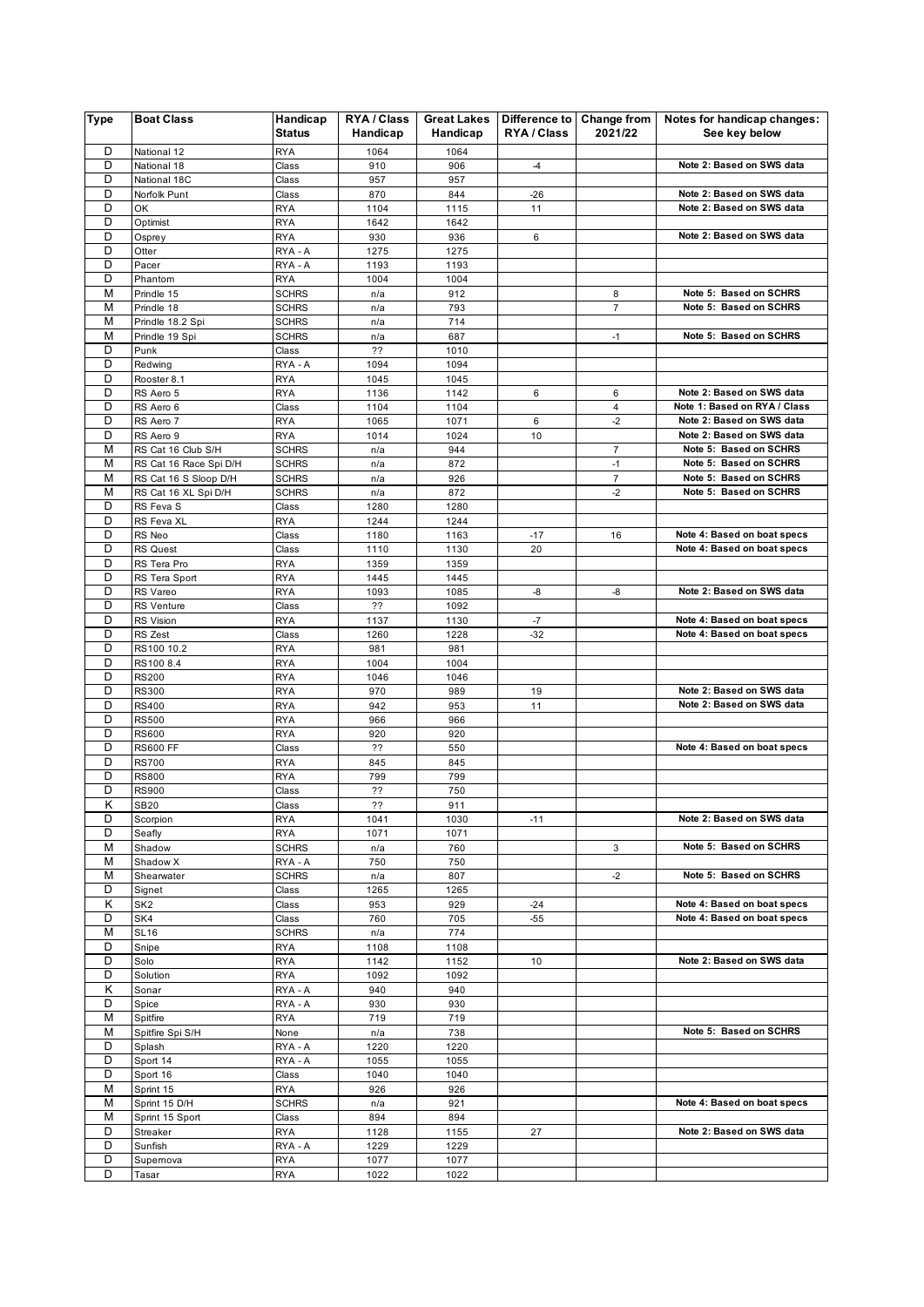| <b>Type</b> | <b>Boat Class</b>                 | Handicap<br><b>Status</b>  | RYA / Class<br>Handicap | <b>Great Lakes</b><br>Handicap | Difference to Change from<br>RYA / Class | 2021/22             | Notes for handicap changes:<br>See key below           |
|-------------|-----------------------------------|----------------------------|-------------------------|--------------------------------|------------------------------------------|---------------------|--------------------------------------------------------|
| D           | National 12                       | <b>RYA</b>                 | 1064                    | 1064                           |                                          |                     |                                                        |
| D           | National 18                       | Class                      | 910                     | 906                            | $-4$                                     |                     | Note 2: Based on SWS data                              |
| D           | National 18C                      | Class                      | 957                     | 957                            |                                          |                     |                                                        |
| D           | Norfolk Punt                      | Class                      | 870                     | 844                            | $-26$                                    |                     | Note 2: Based on SWS data                              |
| D           | OK                                | <b>RYA</b>                 | 1104                    | 1115                           | 11                                       |                     | Note 2: Based on SWS data                              |
| D           | Optimist                          | <b>RYA</b>                 | 1642                    | 1642                           |                                          |                     |                                                        |
| D           | Osprey                            | <b>RYA</b>                 | 930                     | 936                            | 6                                        |                     | Note 2: Based on SWS data                              |
| D           | Otter                             | RYA - A                    | 1275                    | 1275                           |                                          |                     |                                                        |
| D           | Pacer                             | RYA - A                    | 1193                    | 1193                           |                                          |                     |                                                        |
| D<br>M      | Phantom<br>Prindle 15             | <b>RYA</b><br><b>SCHRS</b> | 1004                    | 1004                           |                                          |                     | Note 5: Based on SCHRS                                 |
| M           | Prindle 18                        | <b>SCHRS</b>               | n/a<br>n/a              | 912<br>793                     |                                          | 8<br>$\overline{7}$ | Note 5: Based on SCHRS                                 |
| M           | Prindle 18.2 Spi                  | <b>SCHRS</b>               | n/a                     | 714                            |                                          |                     |                                                        |
| M           | Prindle 19 Spi                    | <b>SCHRS</b>               | n/a                     | 687                            |                                          | $-1$                | Note 5: Based on SCHRS                                 |
| D           | Punk                              | Class                      | ??                      | 1010                           |                                          |                     |                                                        |
| D           | Redwing                           | RYA - A                    | 1094                    | 1094                           |                                          |                     |                                                        |
| D           | Rooster 8.1                       | <b>RYA</b>                 | 1045                    | 1045                           |                                          |                     |                                                        |
| D           | RS Aero 5                         | <b>RYA</b>                 | 1136                    | 1142                           | 6                                        | 6                   | Note 2: Based on SWS data                              |
| D           | RS Aero 6                         | Class                      | 1104                    | 1104                           |                                          | 4                   | Note 1: Based on RYA / Class                           |
| D           | RS Aero 7                         | <b>RYA</b>                 | 1065                    | 1071                           | 6                                        | $-2$                | Note 2: Based on SWS data                              |
| D           | RS Aero 9                         | <b>RYA</b>                 | 1014                    | 1024                           | 10                                       |                     | Note 2: Based on SWS data                              |
| M           | RS Cat 16 Club S/H                | <b>SCHRS</b>               | n/a                     | 944                            |                                          | $\overline{7}$      | Note 5: Based on SCHRS                                 |
| M           | RS Cat 16 Race Spi D/H            | <b>SCHRS</b>               | n/a                     | 872                            |                                          | $-1$                | Note 5: Based on SCHRS                                 |
| M           | RS Cat 16 S Sloop D/H             | <b>SCHRS</b>               | n/a                     | 926                            |                                          | $\overline{7}$      | Note 5: Based on SCHRS                                 |
| M<br>D      | RS Cat 16 XL Spi D/H<br>RS Feva S | <b>SCHRS</b>               | n/a                     | 872                            |                                          | $-2$                | Note 5: Based on SCHRS                                 |
| D           | RS Feva XL                        | Class<br><b>RYA</b>        | 1280<br>1244            | 1280<br>1244                   |                                          |                     |                                                        |
| D           | RS Neo                            | Class                      | 1180                    | 1163                           | $-17$                                    | 16                  | Note 4: Based on boat specs                            |
| D           | <b>RS Quest</b>                   | Class                      | 1110                    | 1130                           | 20                                       |                     | Note 4: Based on boat specs                            |
| D           | RS Tera Pro                       | <b>RYA</b>                 | 1359                    | 1359                           |                                          |                     |                                                        |
| D           | RS Tera Sport                     | <b>RYA</b>                 | 1445                    | 1445                           |                                          |                     |                                                        |
| D           | RS Vareo                          | <b>RYA</b>                 | 1093                    | 1085                           | -8                                       | -8                  | Note 2: Based on SWS data                              |
| D           | <b>RS Venture</b>                 | Class                      | ??                      | 1092                           |                                          |                     |                                                        |
| D           | RS Vision                         | <b>RYA</b>                 | 1137                    | 1130                           | $-7$                                     |                     | Note 4: Based on boat specs                            |
| D           | RS Zest                           | Class                      | 1260                    | 1228                           | $-32$                                    |                     | Note 4: Based on boat specs                            |
| D           | RS100 10.2                        | <b>RYA</b>                 | 981                     | 981                            |                                          |                     |                                                        |
| D           | RS100 8.4                         | <b>RYA</b>                 | 1004                    | 1004                           |                                          |                     |                                                        |
| D           | <b>RS200</b>                      | <b>RYA</b>                 | 1046                    | 1046                           |                                          |                     |                                                        |
| D<br>D      | <b>RS300</b>                      | <b>RYA</b>                 | 970                     | 989                            | 19                                       |                     | Note 2: Based on SWS data<br>Note 2: Based on SWS data |
| D           | <b>RS400</b><br><b>RS500</b>      | <b>RYA</b><br><b>RYA</b>   | 942<br>966              | 953<br>966                     | 11                                       |                     |                                                        |
| D           | <b>RS600</b>                      | <b>RYA</b>                 | 920                     | 920                            |                                          |                     |                                                        |
| D           | <b>RS600 FF</b>                   | Class                      | ??                      | 550                            |                                          |                     | Note 4: Based on boat specs                            |
| D           | <b>RS700</b>                      | <b>RYA</b>                 | 845                     | 845                            |                                          |                     |                                                        |
| D           | <b>RS800</b>                      | <b>RYA</b>                 | 799                     | 799                            |                                          |                     |                                                        |
| D           | <b>RS900</b>                      | Class                      | 22                      | 750                            |                                          |                     |                                                        |
| K           | <b>SB20</b>                       | Class                      | ??                      | 911                            |                                          |                     |                                                        |
| D           | Scorpion                          | <b>RYA</b>                 | 1041                    | 1030                           | $-11$                                    |                     | Note 2: Based on SWS data                              |
| D           | Seafly                            | <b>RYA</b>                 | 1071                    | 1071                           |                                          |                     |                                                        |
| M           | Shadow                            | <b>SCHRS</b>               | n/a                     | 760                            |                                          | 3                   | Note 5: Based on SCHRS                                 |
| M           | Shadow X                          | RYA - A                    | 750                     | 750                            |                                          |                     |                                                        |
| M           | Shearwater                        | <b>SCHRS</b>               | n/a                     | 807                            |                                          | $-2$                | Note 5: Based on SCHRS                                 |
| D<br>Κ      | Signet<br>SK <sub>2</sub>         | Class                      | 1265                    | 1265                           |                                          |                     | Note 4: Based on boat specs                            |
| D           | SK4                               | Class<br>Class             | 953<br>760              | 929<br>705                     | -24<br>-55                               |                     | Note 4: Based on boat specs                            |
| M           | <b>SL16</b>                       | <b>SCHRS</b>               | n/a                     | 774                            |                                          |                     |                                                        |
| D           | Snipe                             | <b>RYA</b>                 | 1108                    | 1108                           |                                          |                     |                                                        |
| D           | Solo                              | <b>RYA</b>                 | 1142                    | 1152                           | 10                                       |                     | Note 2: Based on SWS data                              |
| D           | Solution                          | <b>RYA</b>                 | 1092                    | 1092                           |                                          |                     |                                                        |
| Κ           | Sonar                             | RYA - A                    | 940                     | 940                            |                                          |                     |                                                        |
| D           | Spice                             | RYA - A                    | 930                     | 930                            |                                          |                     |                                                        |
| М           | Spitfire                          | <b>RYA</b>                 | 719                     | 719                            |                                          |                     |                                                        |
| M           | Spitfire Spi S/H                  | None                       | n/a                     | 738                            |                                          |                     | Note 5: Based on SCHRS                                 |
| D           | Splash                            | RYA - A                    | 1220                    | 1220                           |                                          |                     |                                                        |
| D           | Sport 14                          | RYA - A                    | 1055                    | 1055                           |                                          |                     |                                                        |
| D           | Sport 16                          | Class                      | 1040                    | 1040                           |                                          |                     |                                                        |
| M           | Sprint 15                         | <b>RYA</b>                 | 926                     | 926                            |                                          |                     |                                                        |
| M<br>M      | Sprint 15 D/H                     | <b>SCHRS</b>               | n/a                     | 921                            |                                          |                     | Note 4: Based on boat specs                            |
| D           | Sprint 15 Sport<br>Streaker       | Class<br><b>RYA</b>        | 894<br>1128             | 894<br>1155                    | 27                                       |                     | Note 2: Based on SWS data                              |
| D           | Sunfish                           | RYA - A                    | 1229                    | 1229                           |                                          |                     |                                                        |
| D           | Supemova                          | <b>RYA</b>                 | 1077                    | 1077                           |                                          |                     |                                                        |
| D           | Tasar                             | <b>RYA</b>                 | 1022                    | 1022                           |                                          |                     |                                                        |